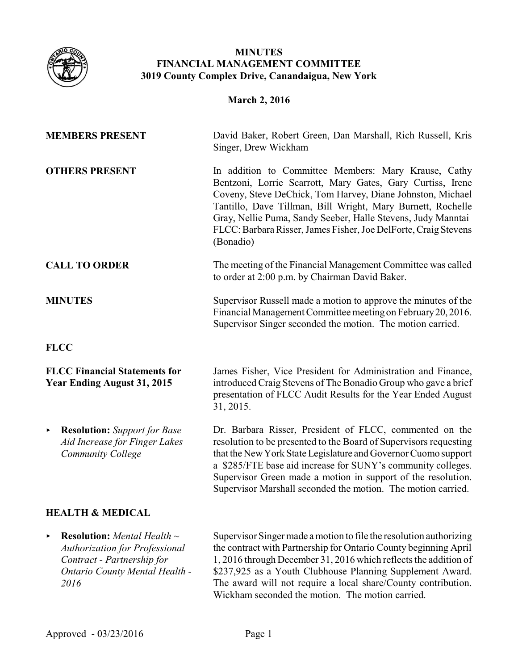

# **MINUTES FINANCIAL MANAGEMENT COMMITTEE 3019 County Complex Drive, Canandaigua, New York**

# **March 2, 2016**

| <b>MEMBERS PRESENT</b>                                                                                                                                               | David Baker, Robert Green, Dan Marshall, Rich Russell, Kris<br>Singer, Drew Wickham                                                                                                                                                                                                                                                                                                             |
|----------------------------------------------------------------------------------------------------------------------------------------------------------------------|-------------------------------------------------------------------------------------------------------------------------------------------------------------------------------------------------------------------------------------------------------------------------------------------------------------------------------------------------------------------------------------------------|
| <b>OTHERS PRESENT</b>                                                                                                                                                | In addition to Committee Members: Mary Krause, Cathy<br>Bentzoni, Lorrie Scarrott, Mary Gates, Gary Curtiss, Irene<br>Coveny, Steve DeChick, Tom Harvey, Diane Johnston, Michael<br>Tantillo, Dave Tillman, Bill Wright, Mary Burnett, Rochelle<br>Gray, Nellie Puma, Sandy Seeber, Halle Stevens, Judy Manntai<br>FLCC: Barbara Risser, James Fisher, Joe DelForte, Craig Stevens<br>(Bonadio) |
| <b>CALL TO ORDER</b>                                                                                                                                                 | The meeting of the Financial Management Committee was called<br>to order at 2:00 p.m. by Chairman David Baker.                                                                                                                                                                                                                                                                                  |
| <b>MINUTES</b>                                                                                                                                                       | Supervisor Russell made a motion to approve the minutes of the<br>Financial Management Committee meeting on February 20, 2016.<br>Supervisor Singer seconded the motion. The motion carried.                                                                                                                                                                                                    |
| <b>FLCC</b>                                                                                                                                                          |                                                                                                                                                                                                                                                                                                                                                                                                 |
| <b>FLCC Financial Statements for</b><br><b>Year Ending August 31, 2015</b>                                                                                           | James Fisher, Vice President for Administration and Finance,<br>introduced Craig Stevens of The Bonadio Group who gave a brief<br>presentation of FLCC Audit Results for the Year Ended August<br>31, 2015.                                                                                                                                                                                     |
| <b>Resolution:</b> Support for Base<br>$\blacktriangleright$<br>Aid Increase for Finger Lakes<br>Community College                                                   | Dr. Barbara Risser, President of FLCC, commented on the<br>resolution to be presented to the Board of Supervisors requesting<br>that the New York State Legislature and Governor Cuomo support<br>a \$285/FTE base aid increase for SUNY's community colleges.<br>Supervisor Green made a motion in support of the resolution.<br>Supervisor Marshall seconded the motion. The motion carried.  |
| <b>HEALTH &amp; MEDICAL</b>                                                                                                                                          |                                                                                                                                                                                                                                                                                                                                                                                                 |
| <b>Resolution:</b> Mental Health $\sim$<br>▶<br><b>Authorization for Professional</b><br>Contract - Partnership for<br><b>Ontario County Mental Health -</b><br>2016 | Supervisor Singer made a motion to file the resolution authorizing<br>the contract with Partnership for Ontario County beginning April<br>1, 2016 through December 31, 2016 which reflects the addition of<br>\$237,925 as a Youth Clubhouse Planning Supplement Award.<br>The award will not require a local share/County contribution.                                                        |

Wickham seconded the motion. The motion carried.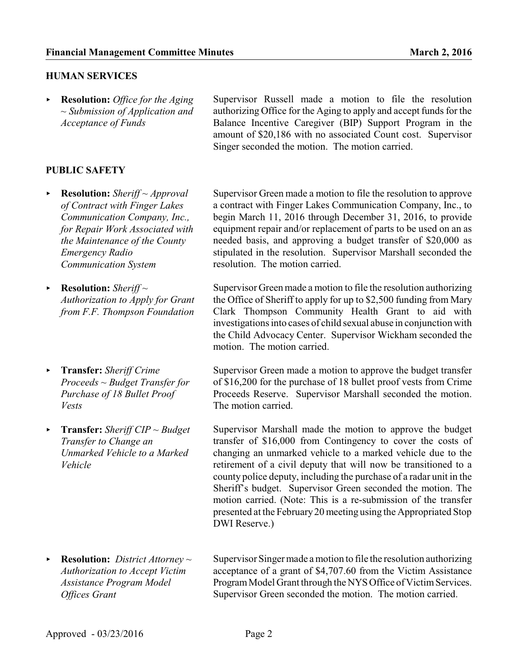#### **HUMAN SERVICES**

< **Resolution:** *Office for the Aging ~ Submission of Application and Acceptance of Funds*

### **PUBLIC SAFETY**

- < **Resolution:** *Sheriff ~ Approval of Contract with Finger Lakes Communication Company, Inc., for Repair Work Associated with the Maintenance of the County Emergency Radio Communication System*
- < **Resolution:** *Sheriff ~ Authorization to Apply for Grant from F.F. Thompson Foundation*
- < **Transfer:** *Sheriff Crime Proceeds ~ Budget Transfer for Purchase of 18 Bullet Proof Vests*
- < **Transfer:** *Sheriff CIP ~ Budget Transfer to Change an Unmarked Vehicle to a Marked Vehicle*

< **Resolution:** *District Attorney ~ Authorization to Accept Victim Assistance Program Model Offices Grant*

Supervisor Russell made a motion to file the resolution authorizing Office for the Aging to apply and accept funds for the Balance Incentive Caregiver (BIP) Support Program in the amount of \$20,186 with no associated Count cost. Supervisor Singer seconded the motion. The motion carried.

Supervisor Green made a motion to file the resolution to approve a contract with Finger Lakes Communication Company, Inc., to begin March 11, 2016 through December 31, 2016, to provide equipment repair and/or replacement of parts to be used on an as needed basis, and approving a budget transfer of \$20,000 as stipulated in the resolution. Supervisor Marshall seconded the resolution. The motion carried.

Supervisor Green made a motion to file the resolution authorizing the Office of Sheriff to apply for up to \$2,500 funding from Mary Clark Thompson Community Health Grant to aid with investigations into cases of child sexual abuse in conjunction with the Child Advocacy Center. Supervisor Wickham seconded the motion. The motion carried.

Supervisor Green made a motion to approve the budget transfer of \$16,200 for the purchase of 18 bullet proof vests from Crime Proceeds Reserve. Supervisor Marshall seconded the motion. The motion carried.

Supervisor Marshall made the motion to approve the budget transfer of \$16,000 from Contingency to cover the costs of changing an unmarked vehicle to a marked vehicle due to the retirement of a civil deputy that will now be transitioned to a county police deputy, including the purchase of a radar unit in the Sheriff's budget. Supervisor Green seconded the motion. The motion carried. (Note: This is a re-submission of the transfer presented at the February20 meeting using the Appropriated Stop DWI Reserve.)

Supervisor Singer made a motion to file the resolution authorizing acceptance of a grant of \$4,707.60 from the Victim Assistance Program Model Grant through the NYS Office of Victim Services. Supervisor Green seconded the motion. The motion carried.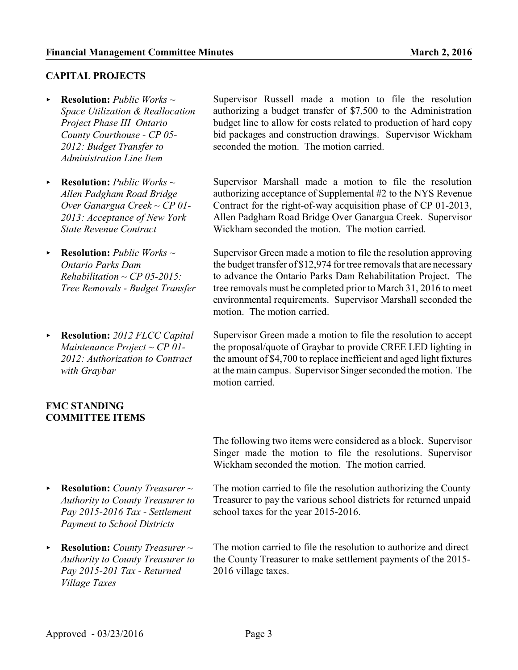# **CAPITAL PROJECTS**

- < **Resolution:** *Public Works ~ Space Utilization & Reallocation Project Phase III Ontario County Courthouse - CP 05- 2012: Budget Transfer to Administration Line Item*
- **Resolution:** *Public Works*  $\sim$ *Allen Padgham Road Bridge Over Ganargua Creek ~ CP 01- 2013: Acceptance of New York State Revenue Contract*
- < **Resolution:** *Public Works ~ Ontario Parks Dam Rehabilitation ~ CP 05-2015: Tree Removals - Budget Transfer*
- < **Resolution:** *2012 FLCC Capital Maintenance Project ~ CP 01- 2012: Authorization to Contract with Graybar*

### **FMC STANDING COMMITTEE ITEMS**

- < **Resolution:** *County Treasurer ~ Authority to County Treasurer to Pay 2015-2016 Tax - Settlement Payment to School Districts*
- < **Resolution:** *County Treasurer ~ Authority to County Treasurer to Pay 2015-201 Tax - Returned Village Taxes*

Supervisor Russell made a motion to file the resolution authorizing a budget transfer of \$7,500 to the Administration budget line to allow for costs related to production of hard copy bid packages and construction drawings. Supervisor Wickham seconded the motion. The motion carried.

Supervisor Marshall made a motion to file the resolution authorizing acceptance of Supplemental #2 to the NYS Revenue Contract for the right-of-way acquisition phase of CP 01-2013, Allen Padgham Road Bridge Over Ganargua Creek. Supervisor Wickham seconded the motion. The motion carried.

Supervisor Green made a motion to file the resolution approving the budget transfer of \$12,974 for tree removals that are necessary to advance the Ontario Parks Dam Rehabilitation Project. The tree removals must be completed prior to March 31, 2016 to meet environmental requirements. Supervisor Marshall seconded the motion. The motion carried.

Supervisor Green made a motion to file the resolution to accept the proposal/quote of Graybar to provide CREE LED lighting in the amount of \$4,700 to replace inefficient and aged light fixtures at the main campus. Supervisor Singer seconded the motion. The motion carried.

The following two items were considered as a block. Supervisor Singer made the motion to file the resolutions. Supervisor Wickham seconded the motion. The motion carried.

The motion carried to file the resolution authorizing the County Treasurer to pay the various school districts for returned unpaid school taxes for the year 2015-2016.

The motion carried to file the resolution to authorize and direct the County Treasurer to make settlement payments of the 2015- 2016 village taxes.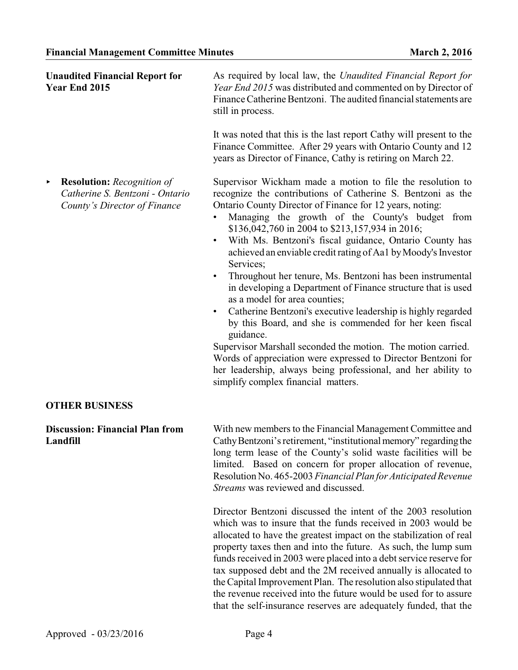| <b>Unaudited Financial Report for</b><br>Year End 2015                                                    | As required by local law, the Unaudited Financial Report for<br>Year End 2015 was distributed and commented on by Director of<br>Finance Catherine Bentzoni. The audited financial statements are<br>still in process.                                                                                                                                                                                                                                                                                                                                                                                                                                                                                                                                                                                                                                                                                                                                                                                                     |
|-----------------------------------------------------------------------------------------------------------|----------------------------------------------------------------------------------------------------------------------------------------------------------------------------------------------------------------------------------------------------------------------------------------------------------------------------------------------------------------------------------------------------------------------------------------------------------------------------------------------------------------------------------------------------------------------------------------------------------------------------------------------------------------------------------------------------------------------------------------------------------------------------------------------------------------------------------------------------------------------------------------------------------------------------------------------------------------------------------------------------------------------------|
|                                                                                                           | It was noted that this is the last report Cathy will present to the<br>Finance Committee. After 29 years with Ontario County and 12<br>years as Director of Finance, Cathy is retiring on March 22.                                                                                                                                                                                                                                                                                                                                                                                                                                                                                                                                                                                                                                                                                                                                                                                                                        |
| <b>Resolution:</b> Recognition of<br>٠<br>Catherine S. Bentzoni - Ontario<br>County's Director of Finance | Supervisor Wickham made a motion to file the resolution to<br>recognize the contributions of Catherine S. Bentzoni as the<br>Ontario County Director of Finance for 12 years, noting:<br>Managing the growth of the County's budget from<br>\$136,042,760 in 2004 to \$213,157,934 in 2016;<br>With Ms. Bentzoni's fiscal guidance, Ontario County has<br>$\bullet$<br>achieved an enviable credit rating of Aa1 by Moody's Investor<br>Services;<br>Throughout her tenure, Ms. Bentzoni has been instrumental<br>$\bullet$<br>in developing a Department of Finance structure that is used<br>as a model for area counties;<br>Catherine Bentzoni's executive leadership is highly regarded<br>$\bullet$<br>by this Board, and she is commended for her keen fiscal<br>guidance.<br>Supervisor Marshall seconded the motion. The motion carried.<br>Words of appreciation were expressed to Director Bentzoni for<br>her leadership, always being professional, and her ability to<br>simplify complex financial matters. |
| <b>OTHER BUSINESS</b>                                                                                     |                                                                                                                                                                                                                                                                                                                                                                                                                                                                                                                                                                                                                                                                                                                                                                                                                                                                                                                                                                                                                            |
| <b>Discussion: Financial Plan from</b><br>Landfill                                                        | With new members to the Financial Management Committee and<br>Cathy Bentzoni's retirement, "institutional memory" regarding the<br>long term lease of the County's solid waste facilities will be<br>limited. Based on concern for proper allocation of revenue,<br>Resolution No. 465-2003 Financial Plan for Anticipated Revenue<br>Streams was reviewed and discussed.                                                                                                                                                                                                                                                                                                                                                                                                                                                                                                                                                                                                                                                  |
|                                                                                                           | Director Bentzoni discussed the intent of the 2003 resolution<br>which was to insure that the funds received in 2003 would be<br>allocated to have the greatest impact on the stabilization of real<br>property taxes then and into the future. As such, the lump sum<br>funds received in 2003 were placed into a debt service reserve for<br>tax supposed debt and the 2M received annually is allocated to<br>the Capital Improvement Plan. The resolution also stipulated that<br>the revenue received into the future would be used for to assure<br>that the self-insurance reserves are adequately funded, that the                                                                                                                                                                                                                                                                                                                                                                                                 |